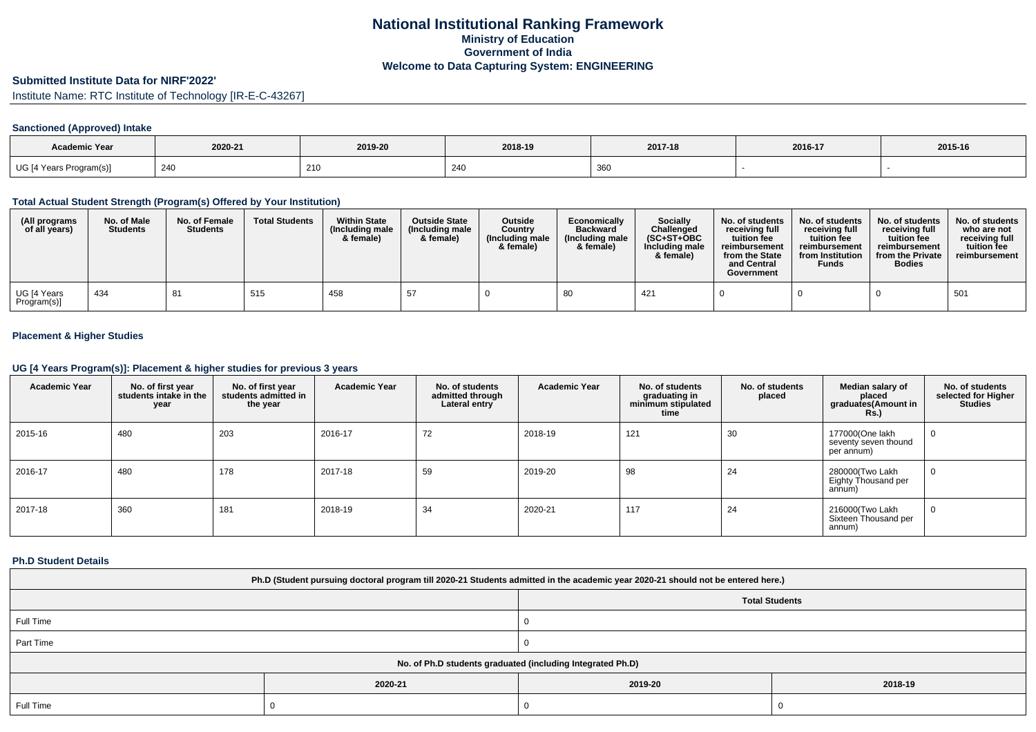## **Submitted Institute Data for NIRF'2022'**

Institute Name: RTC Institute of Technology [IR-E-C-43267]

## **Sanctioned (Approved) Intake**

| <b>Academic Year</b>    | 2020-21 | 2019-20 | 2018-19 | 2017-18 | 2016-17 | 2015-16 |
|-------------------------|---------|---------|---------|---------|---------|---------|
| UG [4 Years Program(s)] | 240     | 210     | 240     | 360     |         |         |

## **Total Actual Student Strength (Program(s) Offered by Your Institution)**

| (All programs<br>of all years) | No. of Male<br><b>Students</b> | No. of Female<br><b>Students</b> | <b>Total Students</b> | <b>Within State</b><br>(Including male<br>& female) | <b>Outside State</b><br>(Including male<br>& female) | <b>Outside</b><br>Country<br>(Including male<br>& female) | Economically<br><b>Backward</b><br>(Including male<br>& female) | <b>Socially</b><br>Challenged<br>$(SC+ST+OBC)$<br>Including male<br>& female) | No. of students<br>receiving full<br>tuition fee<br>reimbursement<br>from the State<br>and Central<br>Government | No. of students<br>receiving full<br>tuition fee<br>reimbursement<br>from Institution<br>Funds | No. of students<br>receiving full<br>tuition fee<br>reimbursement<br>from the Private<br><b>Bodies</b> | No. of students<br>who are not<br>receiving full<br>tuition fee<br>reimbursement |
|--------------------------------|--------------------------------|----------------------------------|-----------------------|-----------------------------------------------------|------------------------------------------------------|-----------------------------------------------------------|-----------------------------------------------------------------|-------------------------------------------------------------------------------|------------------------------------------------------------------------------------------------------------------|------------------------------------------------------------------------------------------------|--------------------------------------------------------------------------------------------------------|----------------------------------------------------------------------------------|
| UG [4 Years<br>Program(s)]     | 434                            | 81                               | 515                   | 458                                                 | 57                                                   |                                                           | 80                                                              | 421                                                                           |                                                                                                                  |                                                                                                |                                                                                                        | 501                                                                              |

## **Placement & Higher Studies**

#### **UG [4 Years Program(s)]: Placement & higher studies for previous 3 years**

| <b>Academic Year</b> | No. of first year<br>students intake in the<br>year | No. of first year<br>students admitted in<br>the year | <b>Academic Year</b> | No. of students<br>admitted through<br>Lateral entry | <b>Academic Year</b> | No. of students<br>graduating in<br>minimum stipulated<br>time | No. of students<br>placed | Median salary of<br>placed<br>graduates(Amount in<br>Rs.) | No. of students<br>selected for Higher<br><b>Studies</b> |
|----------------------|-----------------------------------------------------|-------------------------------------------------------|----------------------|------------------------------------------------------|----------------------|----------------------------------------------------------------|---------------------------|-----------------------------------------------------------|----------------------------------------------------------|
| 2015-16              | 480                                                 | 203                                                   | 2016-17              | 72                                                   | 2018-19              | 121                                                            | 30                        | 177000(One lakh<br>seventy seven thound<br>per annum)     | $\mathbf 0$                                              |
| 2016-17              | 480                                                 | 178                                                   | 2017-18              | 59                                                   | 2019-20              | 98                                                             | 24                        | 280000 Two Lakh<br>Eighty Thousand per<br>annum)          | 0                                                        |
| 2017-18              | 360                                                 | 181                                                   | 2018-19              | 34                                                   | 2020-21              | 117                                                            | 24                        | 216000 Two Lakh<br>Sixteen Thousand per<br>annum)         | 0                                                        |

#### **Ph.D Student Details**

| Ph.D (Student pursuing doctoral program till 2020-21 Students admitted in the academic year 2020-21 should not be entered here.) |         |                       |         |  |
|----------------------------------------------------------------------------------------------------------------------------------|---------|-----------------------|---------|--|
|                                                                                                                                  |         | <b>Total Students</b> |         |  |
| Full Time                                                                                                                        |         |                       |         |  |
| Part Time                                                                                                                        |         |                       |         |  |
| No. of Ph.D students graduated (including Integrated Ph.D)                                                                       |         |                       |         |  |
|                                                                                                                                  | 2020-21 | 2019-20               | 2018-19 |  |
| <b>Full Time</b>                                                                                                                 |         |                       |         |  |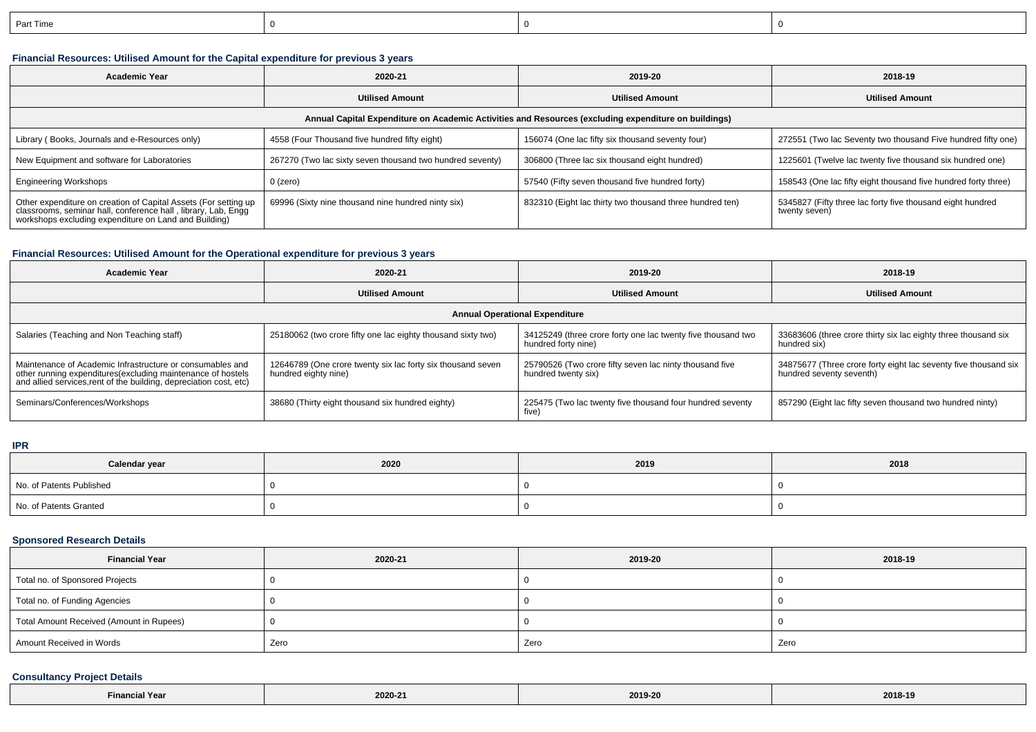| n-<br>: Time |  |  |
|--------------|--|--|
|              |  |  |

# **Financial Resources: Utilised Amount for the Capital expenditure for previous 3 years**

| <b>Academic Year</b>                                                                                                                                                                      | 2020-21                                                   | 2019-20                                                  | 2018-19                                                                     |  |  |  |
|-------------------------------------------------------------------------------------------------------------------------------------------------------------------------------------------|-----------------------------------------------------------|----------------------------------------------------------|-----------------------------------------------------------------------------|--|--|--|
|                                                                                                                                                                                           | <b>Utilised Amount</b>                                    | <b>Utilised Amount</b>                                   | <b>Utilised Amount</b>                                                      |  |  |  |
| Annual Capital Expenditure on Academic Activities and Resources (excluding expenditure on buildings)                                                                                      |                                                           |                                                          |                                                                             |  |  |  |
| Library (Books, Journals and e-Resources only)                                                                                                                                            | 4558 (Four Thousand five hundred fifty eight)             | 156074 (One lac fifty six thousand seventy four)         | 272551 (Two lac Seventy two thousand Five hundred fifty one)                |  |  |  |
| New Equipment and software for Laboratories                                                                                                                                               | 267270 (Two lac sixty seven thousand two hundred seventy) | 306800 (Three lac six thousand eight hundred)            | 1225601 (Twelve lac twenty five thousand six hundred one)                   |  |  |  |
| <b>Engineering Workshops</b>                                                                                                                                                              | $0$ (zero)                                                | 57540 (Fifty seven thousand five hundred forty)          | 158543 (One lac fifty eight thousand five hundred forty three)              |  |  |  |
| Other expenditure on creation of Capital Assets (For setting up<br>classrooms, seminar hall, conference hall, library, Lab, Engg<br>workshops excluding expenditure on Land and Building) | 69996 (Sixty nine thousand nine hundred ninty six)        | 832310 (Eight lac thirty two thousand three hundred ten) | 5345827 (Fifty three lac forty five thousand eight hundred<br>twenty seven) |  |  |  |

## **Financial Resources: Utilised Amount for the Operational expenditure for previous 3 years**

| <b>Academic Year</b>                                                                                                                                                                            | 2020-21                                                                             | 2019-20                                                                             | 2018-19                                                                                     |  |  |
|-------------------------------------------------------------------------------------------------------------------------------------------------------------------------------------------------|-------------------------------------------------------------------------------------|-------------------------------------------------------------------------------------|---------------------------------------------------------------------------------------------|--|--|
|                                                                                                                                                                                                 | <b>Utilised Amount</b>                                                              | <b>Utilised Amount</b>                                                              | <b>Utilised Amount</b>                                                                      |  |  |
| <b>Annual Operational Expenditure</b>                                                                                                                                                           |                                                                                     |                                                                                     |                                                                                             |  |  |
| Salaries (Teaching and Non Teaching staff)                                                                                                                                                      | 25180062 (two crore fifty one lac eighty thousand sixty two)                        | 34125249 (three crore forty one lac twenty five thousand two<br>hundred forty nine) | 33683606 (three crore thirty six lac eighty three thousand six<br>hundred six)              |  |  |
| Maintenance of Academic Infrastructure or consumables and<br>other running expenditures (excluding maintenance of hostels<br>and allied services, rent of the building, depreciation cost, etc) | 12646789 (One crore twenty six lac forty six thousand seven<br>hundred eighty nine) | 25790526 (Two crore fifty seven lac ninty thousand five<br>hundred twenty six)      | 34875677 (Three crore forty eight lac seventy five thousand six<br>hundred seventy seventh) |  |  |
| Seminars/Conferences/Workshops                                                                                                                                                                  | 38680 (Thirty eight thousand six hundred eighty)                                    | 225475 (Two lac twenty five thousand four hundred seventy<br>five)                  | 857290 (Eight lac fifty seven thousand two hundred ninty)                                   |  |  |

**IPR**

| Calendar year            | 2020 | 2019 | 2018 |
|--------------------------|------|------|------|
| No. of Patents Published |      |      |      |
| No. of Patents Granted   |      |      |      |

# **Sponsored Research Details**

| <b>Financial Year</b>                    | 2020-21 | 2019-20 | 2018-19 |
|------------------------------------------|---------|---------|---------|
| Total no. of Sponsored Projects          |         |         |         |
| Total no. of Funding Agencies            |         |         |         |
| Total Amount Received (Amount in Rupees) |         |         |         |
| Amount Received in Words                 | Zero    | Zero    | Zero    |

# **Consultancy Project Details**

| Financial Year | 2020-21 | 2019-20 | 2018-19 |
|----------------|---------|---------|---------|
|----------------|---------|---------|---------|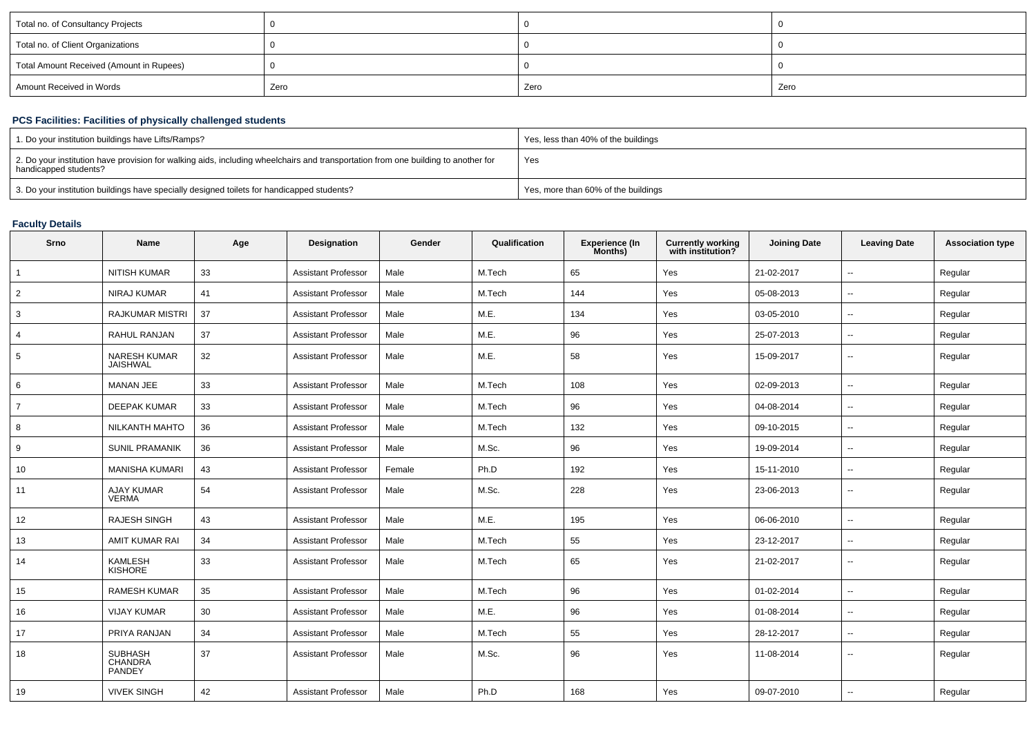| Total no. of Consultancy Projects        |      |      |      |
|------------------------------------------|------|------|------|
| Total no. of Client Organizations        |      |      |      |
| Total Amount Received (Amount in Rupees) |      |      |      |
| Amount Received in Words                 | Zero | Zero | Zero |

# **PCS Facilities: Facilities of physically challenged students**

| 1. Do your institution buildings have Lifts/Ramps?                                                                                                         | Yes, less than 40% of the buildings |
|------------------------------------------------------------------------------------------------------------------------------------------------------------|-------------------------------------|
| 2. Do your institution have provision for walking aids, including wheelchairs and transportation from one building to another for<br>handicapped students? | Yes                                 |
| 3. Do your institution buildings have specially designed toilets for handicapped students?                                                                 | Yes, more than 60% of the buildings |

## **Faculty Details**

| Srno           | <b>Name</b>                                | Age | Designation                | Gender | Qualification | <b>Experience (In</b><br>Months) | <b>Currently working</b><br>with institution? | <b>Joining Date</b> | <b>Leaving Date</b>      | <b>Association type</b> |
|----------------|--------------------------------------------|-----|----------------------------|--------|---------------|----------------------------------|-----------------------------------------------|---------------------|--------------------------|-------------------------|
|                | <b>NITISH KUMAR</b>                        | 33  | <b>Assistant Professor</b> | Male   | M.Tech        | 65                               | Yes                                           | 21-02-2017          | $\sim$                   | Regular                 |
| 2              | NIRAJ KUMAR                                | 41  | <b>Assistant Professor</b> | Male   | M.Tech        | 144                              | Yes                                           | 05-08-2013          | $\sim$                   | Regular                 |
| 3              | <b>RAJKUMAR MISTRI</b>                     | 37  | <b>Assistant Professor</b> | Male   | M.E.          | 134                              | Yes                                           | 03-05-2010          | $\sim$                   | Regular                 |
| 4              | RAHUL RANJAN                               | 37  | <b>Assistant Professor</b> | Male   | M.E.          | 96                               | Yes                                           | 25-07-2013          | $\sim$                   | Regular                 |
| 5              | <b>NARESH KUMAR</b><br><b>JAISHWAL</b>     | 32  | <b>Assistant Professor</b> | Male   | M.E.          | 58                               | Yes                                           | 15-09-2017          | $\sim$                   | Regular                 |
| 6              | <b>MANAN JEE</b>                           | 33  | <b>Assistant Professor</b> | Male   | M.Tech        | 108                              | Yes                                           | 02-09-2013          | $\sim$                   | Regular                 |
| $\overline{7}$ | <b>DEEPAK KUMAR</b>                        | 33  | <b>Assistant Professor</b> | Male   | M.Tech        | 96                               | Yes                                           | 04-08-2014          | $\sim$                   | Regular                 |
| 8              | <b>NILKANTH MAHTO</b>                      | 36  | <b>Assistant Professor</b> | Male   | M.Tech        | 132                              | Yes                                           | 09-10-2015          | $\sim$                   | Regular                 |
| 9              | <b>SUNIL PRAMANIK</b>                      | 36  | <b>Assistant Professor</b> | Male   | M.Sc.         | 96                               | Yes                                           | 19-09-2014          | $\sim$                   | Regular                 |
| 10             | <b>MANISHA KUMARI</b>                      | 43  | <b>Assistant Professor</b> | Female | Ph.D          | 192                              | Yes                                           | 15-11-2010          | $\sim$                   | Regular                 |
| 11             | <b>AJAY KUMAR</b><br><b>VERMA</b>          | 54  | <b>Assistant Professor</b> | Male   | M.Sc.         | 228                              | Yes                                           | 23-06-2013          | $\sim$                   | Regular                 |
| 12             | <b>RAJESH SINGH</b>                        | 43  | <b>Assistant Professor</b> | Male   | M.E.          | 195                              | Yes                                           | 06-06-2010          | $\sim$                   | Regular                 |
| 13             | <b>AMIT KUMAR RAI</b>                      | 34  | <b>Assistant Professor</b> | Male   | M.Tech        | 55                               | Yes                                           | 23-12-2017          | $\sim$                   | Regular                 |
| 14             | <b>KAMLESH</b><br><b>KISHORE</b>           | 33  | <b>Assistant Professor</b> | Male   | M.Tech        | 65                               | Yes                                           | 21-02-2017          | $\sim$                   | Regular                 |
| 15             | <b>RAMESH KUMAR</b>                        | 35  | <b>Assistant Professor</b> | Male   | M.Tech        | 96                               | Yes                                           | 01-02-2014          | $\sim$                   | Regular                 |
| 16             | <b>VIJAY KUMAR</b>                         | 30  | <b>Assistant Professor</b> | Male   | M.E.          | 96                               | Yes                                           | 01-08-2014          | $\sim$                   | Regular                 |
| 17             | PRIYA RANJAN                               | 34  | <b>Assistant Professor</b> | Male   | M.Tech        | 55                               | Yes                                           | 28-12-2017          | $\sim$                   | Regular                 |
| 18             | <b>SUBHASH</b><br><b>CHANDRA</b><br>PANDEY | 37  | <b>Assistant Professor</b> | Male   | M.Sc.         | 96                               | Yes                                           | 11-08-2014          | $\sim$                   | Regular                 |
| 19             | <b>VIVEK SINGH</b>                         | 42  | <b>Assistant Professor</b> | Male   | Ph.D          | 168                              | Yes                                           | 09-07-2010          | $\overline{\phantom{a}}$ | Regular                 |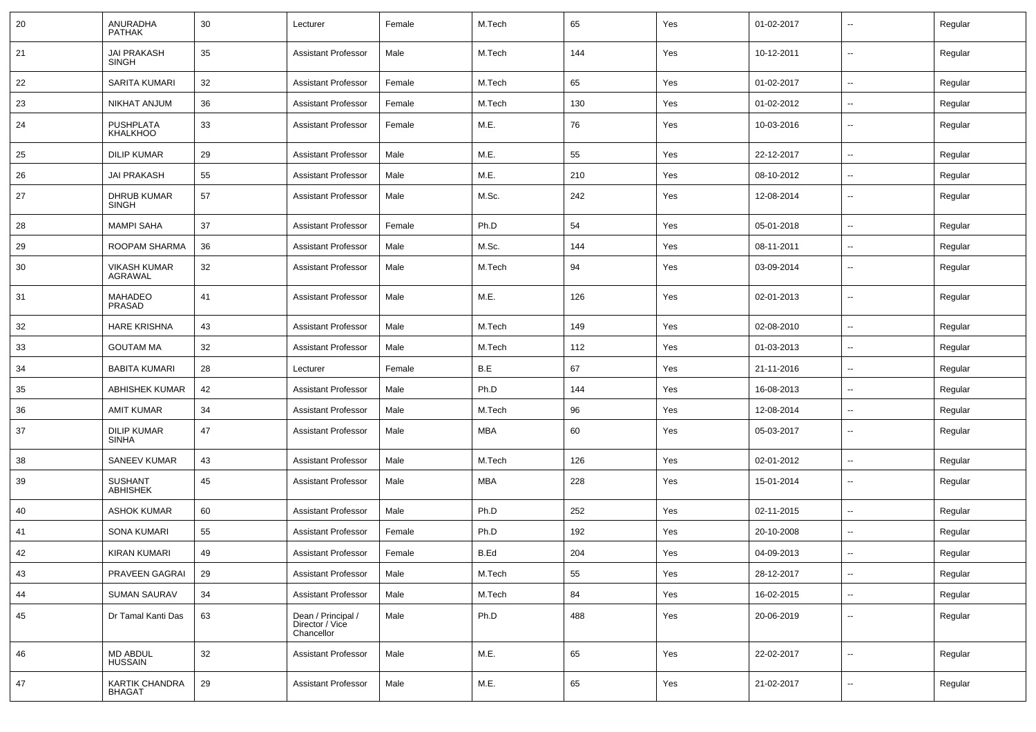| 20 | ANURADHA<br><b>PATHAK</b>           | 30 | Lecturer                                            | Female | M.Tech     | 65  | Yes | 01-02-2017 |                          | Regular |
|----|-------------------------------------|----|-----------------------------------------------------|--------|------------|-----|-----|------------|--------------------------|---------|
| 21 | <b>JAI PRAKASH</b><br><b>SINGH</b>  | 35 | <b>Assistant Professor</b>                          | Male   | M.Tech     | 144 | Yes | 10-12-2011 | $\sim$                   | Regular |
| 22 | <b>SARITA KUMARI</b>                | 32 | <b>Assistant Professor</b>                          | Female | M.Tech     | 65  | Yes | 01-02-2017 | $\sim$                   | Regular |
| 23 | NIKHAT ANJUM                        | 36 | <b>Assistant Professor</b>                          | Female | M.Tech     | 130 | Yes | 01-02-2012 | $\overline{\phantom{a}}$ | Regular |
| 24 | <b>PUSHPLATA</b><br><b>KHALKHOO</b> | 33 | <b>Assistant Professor</b>                          | Female | M.E.       | 76  | Yes | 10-03-2016 | $\overline{\phantom{a}}$ | Regular |
| 25 | <b>DILIP KUMAR</b>                  | 29 | <b>Assistant Professor</b>                          | Male   | M.E.       | 55  | Yes | 22-12-2017 | $\overline{\phantom{a}}$ | Regular |
| 26 | <b>JAI PRAKASH</b>                  | 55 | <b>Assistant Professor</b>                          | Male   | M.E.       | 210 | Yes | 08-10-2012 | $\overline{\phantom{a}}$ | Regular |
| 27 | DHRUB KUMAR<br>SINGH                | 57 | <b>Assistant Professor</b>                          | Male   | M.Sc.      | 242 | Yes | 12-08-2014 | $\overline{\phantom{a}}$ | Regular |
| 28 | <b>MAMPI SAHA</b>                   | 37 | <b>Assistant Professor</b>                          | Female | Ph.D       | 54  | Yes | 05-01-2018 | $\sim$                   | Regular |
| 29 | ROOPAM SHARMA                       | 36 | <b>Assistant Professor</b>                          | Male   | M.Sc.      | 144 | Yes | 08-11-2011 | $\overline{\phantom{a}}$ | Regular |
| 30 | <b>VIKASH KUMAR</b><br>AGRAWAL      | 32 | <b>Assistant Professor</b>                          | Male   | M.Tech     | 94  | Yes | 03-09-2014 | $\overline{\phantom{a}}$ | Regular |
| 31 | <b>MAHADEO</b><br>PRASAD            | 41 | <b>Assistant Professor</b>                          | Male   | M.E.       | 126 | Yes | 02-01-2013 | $\sim$                   | Regular |
| 32 | <b>HARE KRISHNA</b>                 | 43 | <b>Assistant Professor</b>                          | Male   | M.Tech     | 149 | Yes | 02-08-2010 | $\sim$                   | Regular |
| 33 | <b>GOUTAM MA</b>                    | 32 | <b>Assistant Professor</b>                          | Male   | M.Tech     | 112 | Yes | 01-03-2013 | --                       | Regular |
| 34 | <b>BABITA KUMARI</b>                | 28 | Lecturer                                            | Female | B.E        | 67  | Yes | 21-11-2016 | --                       | Regular |
| 35 | <b>ABHISHEK KUMAR</b>               | 42 | <b>Assistant Professor</b>                          | Male   | Ph.D       | 144 | Yes | 16-08-2013 | $\overline{\phantom{a}}$ | Regular |
| 36 | <b>AMIT KUMAR</b>                   | 34 | <b>Assistant Professor</b>                          | Male   | M.Tech     | 96  | Yes | 12-08-2014 | $\sim$                   | Regular |
| 37 | <b>DILIP KUMAR</b><br><b>SINHA</b>  | 47 | <b>Assistant Professor</b>                          | Male   | <b>MBA</b> | 60  | Yes | 05-03-2017 | $\sim$                   | Regular |
| 38 | <b>SANEEV KUMAR</b>                 | 43 | <b>Assistant Professor</b>                          | Male   | M.Tech     | 126 | Yes | 02-01-2012 | $\sim$                   | Regular |
| 39 | <b>SUSHANT</b><br><b>ABHISHEK</b>   | 45 | <b>Assistant Professor</b>                          | Male   | <b>MBA</b> | 228 | Yes | 15-01-2014 | $\overline{\phantom{a}}$ | Regular |
| 40 | <b>ASHOK KUMAR</b>                  | 60 | <b>Assistant Professor</b>                          | Male   | Ph.D       | 252 | Yes | 02-11-2015 | $\sim$                   | Regular |
| 41 | <b>SONA KUMARI</b>                  | 55 | <b>Assistant Professor</b>                          | Female | Ph.D       | 192 | Yes | 20-10-2008 | $\overline{\phantom{a}}$ | Regular |
| 42 | <b>KIRAN KUMARI</b>                 | 49 | <b>Assistant Professor</b>                          | Female | B.Ed       | 204 | Yes | 04-09-2013 |                          | Regular |
| 43 | PRAVEEN GAGRAI                      | 29 | Assistant Professor                                 | Male   | M.Tech     | 55  | Yes | 28-12-2017 | $\overline{\phantom{a}}$ | Regular |
| 44 | <b>SUMAN SAURAV</b>                 | 34 | <b>Assistant Professor</b>                          | Male   | M.Tech     | 84  | Yes | 16-02-2015 | $\overline{\phantom{a}}$ | Regular |
| 45 | Dr Tamal Kanti Das                  | 63 | Dean / Principal /<br>Director / Vice<br>Chancellor | Male   | Ph.D       | 488 | Yes | 20-06-2019 | $\overline{\phantom{a}}$ | Regular |
| 46 | MD ABDUL<br><b>HUSSAIN</b>          | 32 | <b>Assistant Professor</b>                          | Male   | M.E.       | 65  | Yes | 22-02-2017 | $\overline{\phantom{a}}$ | Regular |
| 47 | KARTIK CHANDRA<br><b>BHAGAT</b>     | 29 | <b>Assistant Professor</b>                          | Male   | M.E.       | 65  | Yes | 21-02-2017 | $\overline{\phantom{a}}$ | Regular |